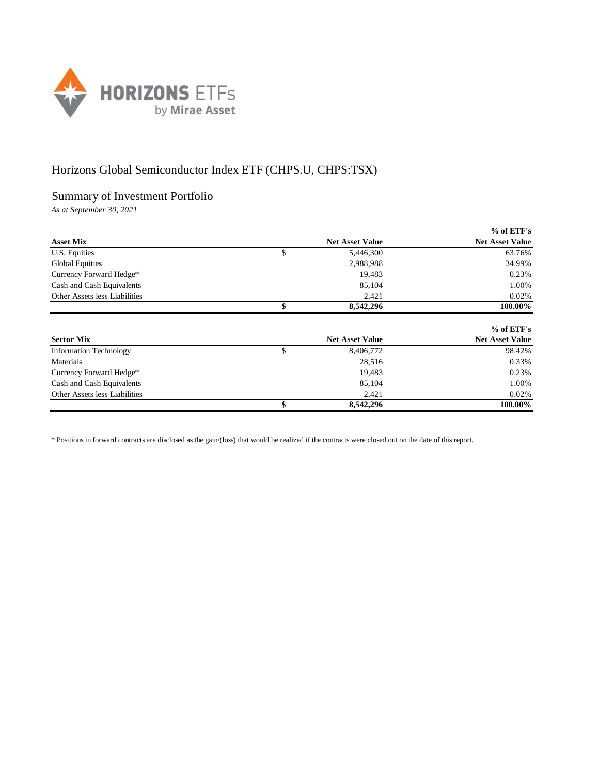

## Horizons Global Semiconductor Index ETF (CHPS.U, CHPS:TSX)

## Summary of Investment Portfolio

*As at September 30, 2021*

|                               |                        | $%$ of ETF's           |
|-------------------------------|------------------------|------------------------|
| <b>Asset Mix</b>              | <b>Net Asset Value</b> | <b>Net Asset Value</b> |
| U.S. Equities                 | \$<br>5,446,300        | 63.76%                 |
| <b>Global Equities</b>        | 2,988,988              | 34.99%                 |
| Currency Forward Hedge*       | 19,483                 | 0.23%                  |
| Cash and Cash Equivalents     | 85,104                 | 1.00%                  |
| Other Assets less Liabilities | 2,421                  | 0.02%                  |
|                               | \$<br>8,542,296        | 100.00%                |
|                               |                        |                        |
|                               |                        | $%$ of ETF's           |
| <b>Sector Mix</b>             | <b>Net Asset Value</b> | <b>Net Asset Value</b> |
| <b>Information Technology</b> | \$<br>8,406,772        | 98.42%                 |
| Materials                     | 28,516                 | 0.33%                  |
| Currency Forward Hedge*       | 19,483                 | 0.23%                  |
| Cash and Cash Equivalents     | 85,104                 | 1.00%                  |
| Other Assets less Liabilities |                        |                        |
|                               | 2,421                  | 0.02%                  |

\* Positions in forward contracts are disclosed as the gain/(loss) that would be realized if the contracts were closed out on the date of this report.